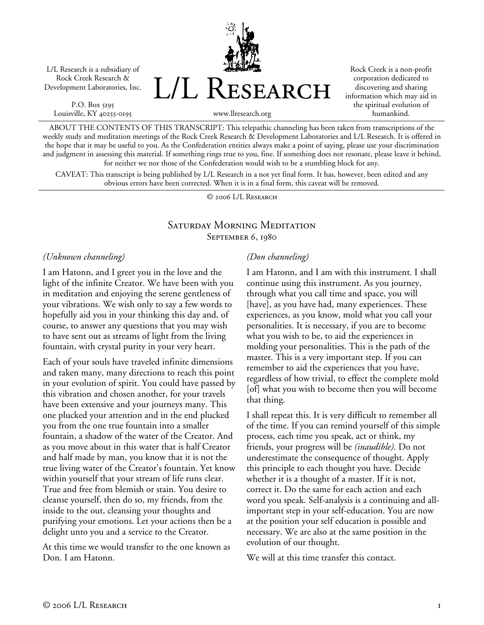L/L Research is a subsidiary of Rock Creek Research & Development Laboratories, Inc.

P.O. Box 5195 Louisville, KY 40255-0195 L/L Research

Rock Creek is a non-profit corporation dedicated to discovering and sharing information which may aid in the spiritual evolution of humankind.

www.llresearch.org

ABOUT THE CONTENTS OF THIS TRANSCRIPT: This telepathic channeling has been taken from transcriptions of the weekly study and meditation meetings of the Rock Creek Research & Development Laboratories and L/L Research. It is offered in the hope that it may be useful to you. As the Confederation entities always make a point of saying, please use your discrimination and judgment in assessing this material. If something rings true to you, fine. If something does not resonate, please leave it behind, for neither we nor those of the Confederation would wish to be a stumbling block for any.

CAVEAT: This transcript is being published by L/L Research in a not yet final form. It has, however, been edited and any obvious errors have been corrected. When it is in a final form, this caveat will be removed.

© 2006 L/L Research

## Saturday Morning Meditation September 6, 1980

*(Unknown channeling)* 

I am Hatonn, and I greet you in the love and the light of the infinite Creator. We have been with you in meditation and enjoying the serene gentleness of your vibrations. We wish only to say a few words to hopefully aid you in your thinking this day and, of course, to answer any questions that you may wish to have sent out as streams of light from the living fountain, with crystal purity in your very heart.

Each of your souls have traveled infinite dimensions and taken many, many directions to reach this point in your evolution of spirit. You could have passed by this vibration and chosen another, for your travels have been extensive and your journeys many. This one plucked your attention and in the end plucked you from the one true fountain into a smaller fountain, a shadow of the water of the Creator. And as you move about in this water that is half Creator and half made by man, you know that it is not the true living water of the Creator's fountain. Yet know within yourself that your stream of life runs clear. True and free from blemish or stain. You desire to cleanse yourself, then do so, my friends, from the inside to the out, cleansing your thoughts and purifying your emotions. Let your actions then be a delight unto you and a service to the Creator.

At this time we would transfer to the one known as Don. I am Hatonn.

## *(Don channeling)*

I am Hatonn, and I am with this instrument. I shall continue using this instrument. As you journey, through what you call time and space, you will [have], as you have had, many experiences. These experiences, as you know, mold what you call your personalities. It is necessary, if you are to become what you wish to be, to aid the experiences in molding your personalities. This is the path of the master. This is a very important step. If you can remember to aid the experiences that you have, regardless of how trivial, to effect the complete mold [of] what you wish to become then you will become that thing.

I shall repeat this. It is very difficult to remember all of the time. If you can remind yourself of this simple process, each time you speak, act or think, my friends, your progress will be *(inaudible)*. Do not underestimate the consequence of thought. Apply this principle to each thought you have. Decide whether it is a thought of a master. If it is not, correct it. Do the same for each action and each word you speak. Self-analysis is a continuing and allimportant step in your self-education. You are now at the position your self education is possible and necessary. We are also at the same position in the evolution of our thought.

We will at this time transfer this contact.